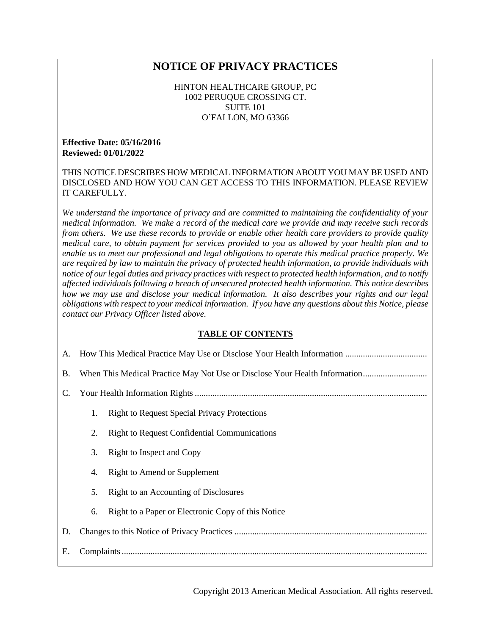# **NOTICE OF PRIVACY PRACTICES**

HINTON HEALTHCARE GROUP, PC 1002 PERUQUE CROSSING CT. SUITE 101 O'FALLON, MO 63366

#### **Effective Date: 05/16/2016 Reviewed: 01/01/2022**

THIS NOTICE DESCRIBES HOW MEDICAL INFORMATION ABOUT YOU MAY BE USED AND DISCLOSED AND HOW YOU CAN GET ACCESS TO THIS INFORMATION. PLEASE REVIEW IT CAREFULLY.

*We understand the importance of privacy and are committed to maintaining the confidentiality of your medical information. We make a record of the medical care we provide and may receive such records from others. We use these records to provide or enable other health care providers to provide quality medical care, to obtain payment for services provided to you as allowed by your health plan and to enable us to meet our professional and legal obligations to operate this medical practice properly. We are required by law to maintain the privacy of protected health information, to provide individuals with notice of our legal duties and privacy practices with respect to protected health information, and to notify affected individuals following a breach of unsecured protected health information. This notice describes how we may use and disclose your medical information. It also describes your rights and our legal obligations with respect to your medical information. If you have any questions about this Notice, please contact our Privacy Officer listed above.*

#### **TABLE OF CONTENTS**

| A.        |    |                                                     |
|-----------|----|-----------------------------------------------------|
| <b>B.</b> |    |                                                     |
| C.        |    |                                                     |
|           | 1. | <b>Right to Request Special Privacy Protections</b> |
|           | 2. | <b>Right to Request Confidential Communications</b> |
|           | 3. | Right to Inspect and Copy                           |
|           | 4. | Right to Amend or Supplement                        |
|           | 5. | Right to an Accounting of Disclosures               |
|           | 6. | Right to a Paper or Electronic Copy of this Notice  |
| D.        |    |                                                     |
| Е.        |    |                                                     |

Copyright 2013 American Medical Association. All rights reserved.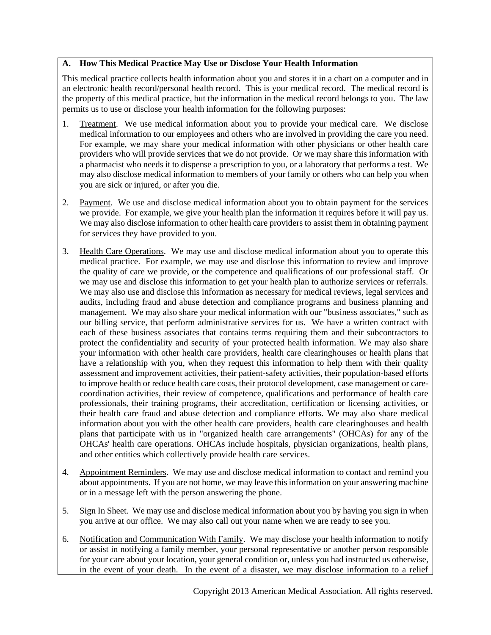### **A. How This Medical Practice May Use or Disclose Your Health Information**

This medical practice collects health information about you and stores it in a chart on a computer and in an electronic health record/personal health record. This is your medical record. The medical record is the property of this medical practice, but the information in the medical record belongs to you. The law permits us to use or disclose your health information for the following purposes:

- 1. Treatment. We use medical information about you to provide your medical care. We disclose medical information to our employees and others who are involved in providing the care you need. For example, we may share your medical information with other physicians or other health care providers who will provide services that we do not provide. Or we may share this information with a pharmacist who needs it to dispense a prescription to you, or a laboratory that performs a test. We may also disclose medical information to members of your family or others who can help you when you are sick or injured, or after you die.
- 2. Payment. We use and disclose medical information about you to obtain payment for the services we provide. For example, we give your health plan the information it requires before it will pay us. We may also disclose information to other health care providers to assist them in obtaining payment for services they have provided to you.
- 3. Health Care Operations. We may use and disclose medical information about you to operate this medical practice. For example, we may use and disclose this information to review and improve the quality of care we provide, or the competence and qualifications of our professional staff. Or we may use and disclose this information to get your health plan to authorize services or referrals. We may also use and disclose this information as necessary for medical reviews, legal services and audits, including fraud and abuse detection and compliance programs and business planning and management. We may also share your medical information with our "business associates," such as our billing service, that perform administrative services for us. We have a written contract with each of these business associates that contains terms requiring them and their subcontractors to protect the confidentiality and security of your protected health information. We may also share your information with other health care providers, health care clearinghouses or health plans that have a relationship with you, when they request this information to help them with their quality assessment and improvement activities, their patient-safety activities, their population-based efforts to improve health or reduce health care costs, their protocol development, case management or carecoordination activities, their review of competence, qualifications and performance of health care professionals, their training programs, their accreditation, certification or licensing activities, or their health care fraud and abuse detection and compliance efforts. We may also share medical information about you with the other health care providers, health care clearinghouses and health plans that participate with us in "organized health care arrangements" (OHCAs) for any of the OHCAs' health care operations. OHCAs include hospitals, physician organizations, health plans, and other entities which collectively provide health care services.
- 4. Appointment Reminders. We may use and disclose medical information to contact and remind you about appointments. If you are not home, we may leave this information on your answering machine or in a message left with the person answering the phone.
- 5. Sign In Sheet. We may use and disclose medical information about you by having you sign in when you arrive at our office. We may also call out your name when we are ready to see you.
- 6. Notification and Communication With Family. We may disclose your health information to notify or assist in notifying a family member, your personal representative or another person responsible for your care about your location, your general condition or, unless you had instructed us otherwise, in the event of your death. In the event of a disaster, we may disclose information to a relief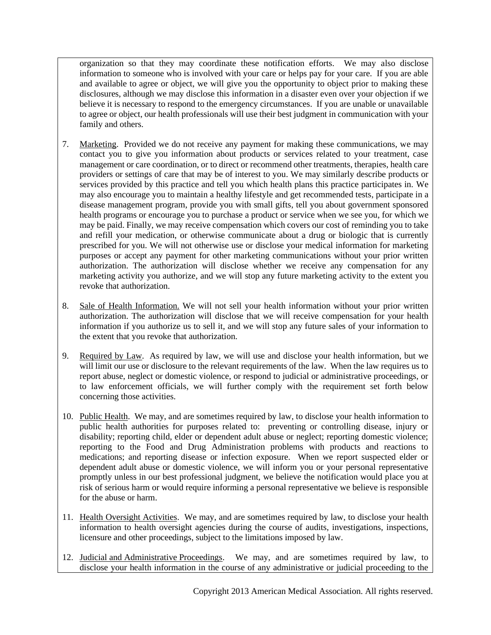organization so that they may coordinate these notification efforts. We may also disclose information to someone who is involved with your care or helps pay for your care. If you are able and available to agree or object, we will give you the opportunity to object prior to making these disclosures, although we may disclose this information in a disaster even over your objection if we believe it is necessary to respond to the emergency circumstances. If you are unable or unavailable to agree or object, our health professionals will use their best judgment in communication with your family and others.

- 7. Marketing. Provided we do not receive any payment for making these communications, we may contact you to give you information about products or services related to your treatment, case management or care coordination, or to direct or recommend other treatments, therapies, health care providers or settings of care that may be of interest to you. We may similarly describe products or services provided by this practice and tell you which health plans this practice participates in. We may also encourage you to maintain a healthy lifestyle and get recommended tests, participate in a disease management program, provide you with small gifts, tell you about government sponsored health programs or encourage you to purchase a product or service when we see you, for which we may be paid. Finally, we may receive compensation which covers our cost of reminding you to take and refill your medication, or otherwise communicate about a drug or biologic that is currently prescribed for you. We will not otherwise use or disclose your medical information for marketing purposes or accept any payment for other marketing communications without your prior written authorization. The authorization will disclose whether we receive any compensation for any marketing activity you authorize, and we will stop any future marketing activity to the extent you revoke that authorization.
- 8. Sale of Health Information. We will not sell your health information without your prior written authorization. The authorization will disclose that we will receive compensation for your health information if you authorize us to sell it, and we will stop any future sales of your information to the extent that you revoke that authorization.
- 9. Required by Law. As required by law, we will use and disclose your health information, but we will limit our use or disclosure to the relevant requirements of the law. When the law requires us to report abuse, neglect or domestic violence, or respond to judicial or administrative proceedings, or to law enforcement officials, we will further comply with the requirement set forth below concerning those activities.
- 10. Public Health. We may, and are sometimes required by law, to disclose your health information to public health authorities for purposes related to: preventing or controlling disease, injury or disability; reporting child, elder or dependent adult abuse or neglect; reporting domestic violence; reporting to the Food and Drug Administration problems with products and reactions to medications; and reporting disease or infection exposure. When we report suspected elder or dependent adult abuse or domestic violence, we will inform you or your personal representative promptly unless in our best professional judgment, we believe the notification would place you at risk of serious harm or would require informing a personal representative we believe is responsible for the abuse or harm.
- 11. Health Oversight Activities. We may, and are sometimes required by law, to disclose your health information to health oversight agencies during the course of audits, investigations, inspections, licensure and other proceedings, subject to the limitations imposed by law.
- 12. Judicial and Administrative Proceedings. We may, and are sometimes required by law, to disclose your health information in the course of any administrative or judicial proceeding to the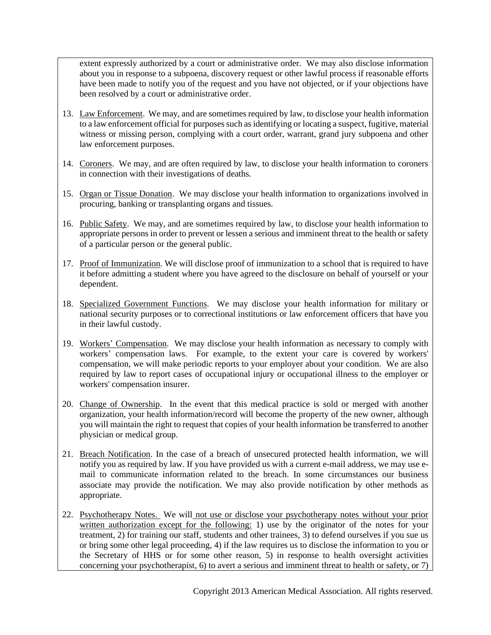extent expressly authorized by a court or administrative order. We may also disclose information about you in response to a subpoena, discovery request or other lawful process if reasonable efforts have been made to notify you of the request and you have not objected, or if your objections have been resolved by a court or administrative order.

- 13. Law Enforcement. We may, and are sometimes required by law, to disclose your health information to a law enforcement official for purposes such as identifying or locating a suspect, fugitive, material witness or missing person, complying with a court order, warrant, grand jury subpoena and other law enforcement purposes.
- 14. Coroners. We may, and are often required by law, to disclose your health information to coroners in connection with their investigations of deaths.
- 15. Organ or Tissue Donation. We may disclose your health information to organizations involved in procuring, banking or transplanting organs and tissues.
- 16. Public Safety. We may, and are sometimes required by law, to disclose your health information to appropriate persons in order to prevent or lessen a serious and imminent threat to the health or safety of a particular person or the general public.
- 17. Proof of Immunization. We will disclose proof of immunization to a school that is required to have it before admitting a student where you have agreed to the disclosure on behalf of yourself or your dependent.
- 18. Specialized Government Functions. We may disclose your health information for military or national security purposes or to correctional institutions or law enforcement officers that have you in their lawful custody.
- 19. Workers' Compensation. We may disclose your health information as necessary to comply with workers' compensation laws. For example, to the extent your care is covered by workers' compensation, we will make periodic reports to your employer about your condition. We are also required by law to report cases of occupational injury or occupational illness to the employer or workers' compensation insurer.
- 20. Change of Ownership. In the event that this medical practice is sold or merged with another organization, your health information/record will become the property of the new owner, although you will maintain the right to request that copies of your health information be transferred to another physician or medical group.
- 21. Breach Notification. In the case of a breach of unsecured protected health information, we will notify you as required by law. If you have provided us with a current e-mail address, we may use email to communicate information related to the breach. In some circumstances our business associate may provide the notification. We may also provide notification by other methods as appropriate.
- 22. Psychotherapy Notes. We will not use or disclose your psychotherapy notes without your prior written authorization except for the following: 1) use by the originator of the notes for your treatment, 2) for training our staff, students and other trainees, 3) to defend ourselves if you sue us or bring some other legal proceeding, 4) if the law requires us to disclose the information to you or the Secretary of HHS or for some other reason,  $5$ ) in response to health oversight activities concerning your psychotherapist, 6) to avert a serious and imminent threat to health or safety, or 7)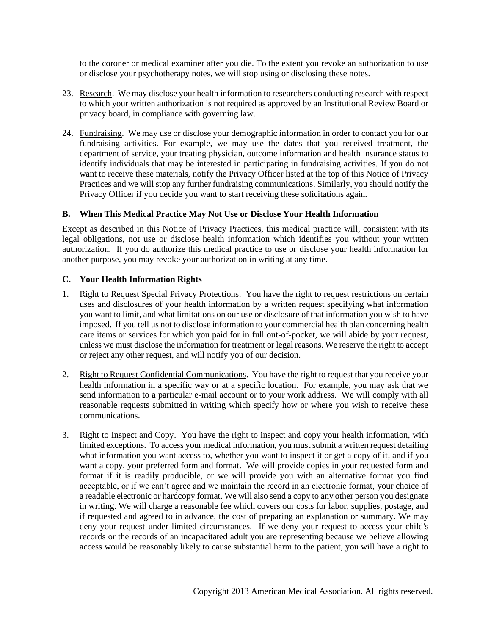to the coroner or medical examiner after you die. To the extent you revoke an authorization to use or disclose your psychotherapy notes, we will stop using or disclosing these notes.

- 23. Research. We may disclose your health information to researchers conducting research with respect to which your written authorization is not required as approved by an Institutional Review Board or privacy board, in compliance with governing law.
- 24. Fundraising. We may use or disclose your demographic information in order to contact you for our fundraising activities. For example, we may use the dates that you received treatment, the department of service, your treating physician, outcome information and health insurance status to identify individuals that may be interested in participating in fundraising activities. If you do not want to receive these materials, notify the Privacy Officer listed at the top of this Notice of Privacy Practices and we will stop any further fundraising communications. Similarly, you should notify the Privacy Officer if you decide you want to start receiving these solicitations again.

### **B. When This Medical Practice May Not Use or Disclose Your Health Information**

Except as described in this Notice of Privacy Practices, this medical practice will, consistent with its legal obligations, not use or disclose health information which identifies you without your written authorization. If you do authorize this medical practice to use or disclose your health information for another purpose, you may revoke your authorization in writing at any time.

### **C. Your Health Information Rights**

- 1. Right to Request Special Privacy Protections. You have the right to request restrictions on certain uses and disclosures of your health information by a written request specifying what information you want to limit, and what limitations on our use or disclosure of that information you wish to have imposed. If you tell us not to disclose information to your commercial health plan concerning health care items or services for which you paid for in full out-of-pocket, we will abide by your request, unless we must disclose the information for treatment or legal reasons. We reserve the right to accept or reject any other request, and will notify you of our decision.
- 2. Right to Request Confidential Communications. You have the right to request that you receive your health information in a specific way or at a specific location. For example, you may ask that we send information to a particular e-mail account or to your work address. We will comply with all reasonable requests submitted in writing which specify how or where you wish to receive these communications.
- 3. Right to Inspect and Copy. You have the right to inspect and copy your health information, with limited exceptions. To access your medical information, you must submit a written request detailing what information you want access to, whether you want to inspect it or get a copy of it, and if you want a copy, your preferred form and format. We will provide copies in your requested form and format if it is readily producible, or we will provide you with an alternative format you find acceptable, or if we can't agree and we maintain the record in an electronic format, your choice of a readable electronic or hardcopy format. We will also send a copy to any other person you designate in writing. We will charge a reasonable fee which covers our costs for labor, supplies, postage, and if requested and agreed to in advance, the cost of preparing an explanation or summary. We may deny your request under limited circumstances. If we deny your request to access your child's records or the records of an incapacitated adult you are representing because we believe allowing access would be reasonably likely to cause substantial harm to the patient, you will have a right to